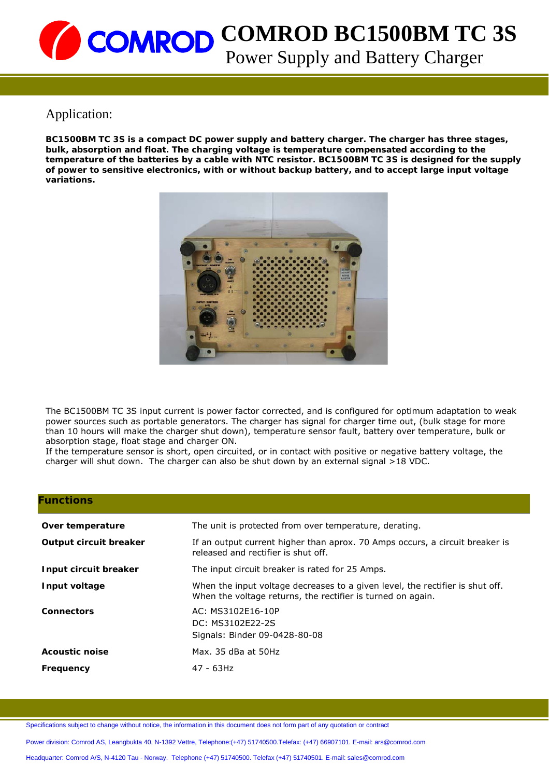## Application:

**BC1500BM TC 3S is a compact DC power supply and battery charger. The charger has three stages, bulk, absorption and float. The charging voltage is temperature compensated according to the temperature of the batteries by a cable with NTC resistor. BC1500BM TC 3S is designed for the supply of power to sensitive electronics, with or without backup battery, and to accept large input voltage variations.** 



The BC1500BM TC 3S input current is power factor corrected, and is configured for optimum adaptation to weak power sources such as portable generators. The charger has signal for charger time out, (bulk stage for more than 10 hours will make the charger shut down), temperature sensor fault, battery over temperature, bulk or absorption stage, float stage and charger ON.

If the temperature sensor is short, open circuited, or in contact with positive or negative battery voltage, the charger will shut down. The charger can also be shut down by an external signal >18 VDC.

| <b>Functions</b>       |                                                                                                                                              |  |
|------------------------|----------------------------------------------------------------------------------------------------------------------------------------------|--|
| Over temperature       | The unit is protected from over temperature, derating.                                                                                       |  |
| Output circuit breaker | If an output current higher than aprox. 70 Amps occurs, a circuit breaker is<br>released and rectifier is shut off.                          |  |
| Input circuit breaker  | The input circuit breaker is rated for 25 Amps.                                                                                              |  |
| Input voltage          | When the input voltage decreases to a given level, the rectifier is shut off.<br>When the voltage returns, the rectifier is turned on again. |  |
| <b>Connectors</b>      | AC: MS3102E16-10P<br>DC: MS3102E22-2S<br>Signals: Binder 09-0428-80-08                                                                       |  |
| <b>Acoustic noise</b>  | Max. 35 dBa at 50Hz                                                                                                                          |  |
| Frequency              | 47 - 63Hz                                                                                                                                    |  |

Specifications subject to change without notice, the information in this document does not form part of any quotation or contract

Power division: Comrod AS, Leangbukta 40, N-1392 Vettre, Telephone:(+47) 51740500.Telefax: (+47) 66907101. E-mail: ars@comrod.com